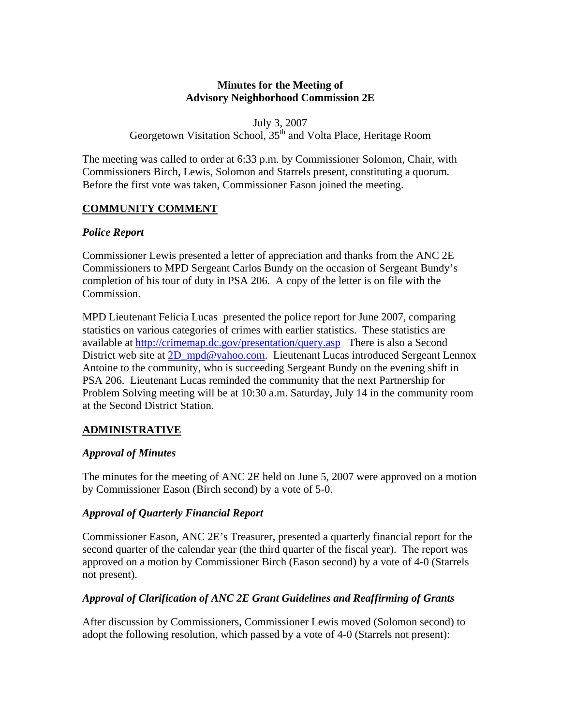## **Minutes for the Meeting of Advisory Neighborhood Commission 2E**

July 3, 2007

Georgetown Visitation School, 35<sup>th</sup> and Volta Place, Heritage Room

The meeting was called to order at 6:33 p.m. by Commissioner Solomon, Chair, with Commissioners Birch, Lewis, Solomon and Starrels present, constituting a quorum*.*  Before the first vote was taken, Commissioner Eason joined the meeting.

# **COMMUNITY COMMENT**

## *Police Report*

Commissioner Lewis presented a letter of appreciation and thanks from the ANC 2E Commissioners to MPD Sergeant Carlos Bundy on the occasion of Sergeant Bundy's completion of his tour of duty in PSA 206. A copy of the letter is on file with the Commission.

MPD Lieutenant Felicia Lucas presented the police report for June 2007, comparing statistics on various categories of crimes with earlier statistics. These statistics are available at<http://crimemap.dc.gov/presentation/query.asp>There is also a Second District web site at [2D\\_mpd@yahoo.com](mailto:2D_mpd@yahoo.com). Lieutenant Lucas introduced Sergeant Lennox Antoine to the community, who is succeeding Sergeant Bundy on the evening shift in PSA 206. Lieutenant Lucas reminded the community that the next Partnership for Problem Solving meeting will be at 10:30 a.m. Saturday, July 14 in the community room at the Second District Station.

# **ADMINISTRATIVE**

# *Approval of Minutes*

The minutes for the meeting of ANC 2E held on June 5, 2007 were approved on a motion by Commissioner Eason (Birch second) by a vote of 5-0.

# *Approval of Quarterly Financial Report*

Commissioner Eason, ANC 2E's Treasurer, presented a quarterly financial report for the second quarter of the calendar year (the third quarter of the fiscal year). The report was approved on a motion by Commissioner Birch (Eason second) by a vote of 4-0 (Starrels not present).

# *Approval of Clarification of ANC 2E Grant Guidelines and Reaffirming of Grants*

After discussion by Commissioners, Commissioner Lewis moved (Solomon second) to adopt the following resolution, which passed by a vote of 4-0 (Starrels not present):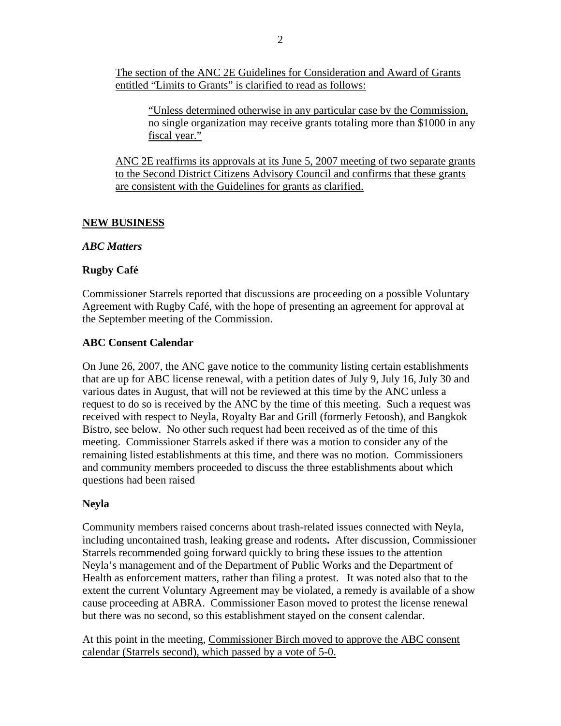The section of the ANC 2E Guidelines for Consideration and Award of Grants entitled "Limits to Grants" is clarified to read as follows:

"Unless determined otherwise in any particular case by the Commission, no single organization may receive grants totaling more than \$1000 in any fiscal year."

ANC 2E reaffirms its approvals at its June 5, 2007 meeting of two separate grants to the Second District Citizens Advisory Council and confirms that these grants are consistent with the Guidelines for grants as clarified.

### **NEW BUSINESS**

#### *ABC Matters*

### **Rugby Café**

Commissioner Starrels reported that discussions are proceeding on a possible Voluntary Agreement with Rugby Café, with the hope of presenting an agreement for approval at the September meeting of the Commission.

#### **ABC Consent Calendar**

On June 26, 2007, the ANC gave notice to the community listing certain establishments that are up for ABC license renewal, with a petition dates of July 9, July 16, July 30 and various dates in August, that will not be reviewed at this time by the ANC unless a request to do so is received by the ANC by the time of this meeting. Such a request was received with respect to Neyla, Royalty Bar and Grill (formerly Fetoosh), and Bangkok Bistro, see below. No other such request had been received as of the time of this meeting. Commissioner Starrels asked if there was a motion to consider any of the remaining listed establishments at this time, and there was no motion. Commissioners and community members proceeded to discuss the three establishments about which questions had been raised

#### **Neyla**

Community members raised concerns about trash-related issues connected with Neyla, including uncontained trash, leaking grease and rodents**.** After discussion, Commissioner Starrels recommended going forward quickly to bring these issues to the attention Neyla's management and of the Department of Public Works and the Department of Health as enforcement matters, rather than filing a protest. It was noted also that to the extent the current Voluntary Agreement may be violated, a remedy is available of a show cause proceeding at ABRA. Commissioner Eason moved to protest the license renewal but there was no second, so this establishment stayed on the consent calendar.

At this point in the meeting, Commissioner Birch moved to approve the ABC consent calendar (Starrels second), which passed by a vote of 5-0.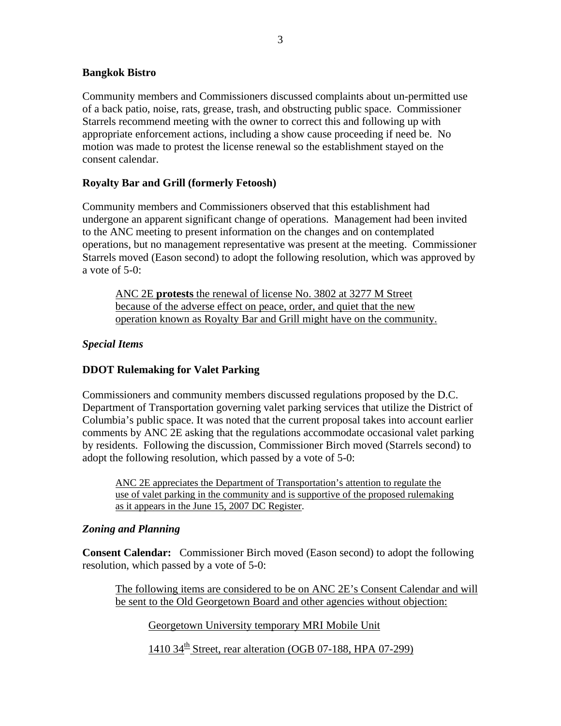### **Bangkok Bistro**

Community members and Commissioners discussed complaints about un-permitted use of a back patio, noise, rats, grease, trash, and obstructing public space. Commissioner Starrels recommend meeting with the owner to correct this and following up with appropriate enforcement actions, including a show cause proceeding if need be. No motion was made to protest the license renewal so the establishment stayed on the consent calendar.

### **Royalty Bar and Grill (formerly Fetoosh)**

Community members and Commissioners observed that this establishment had undergone an apparent significant change of operations. Management had been invited to the ANC meeting to present information on the changes and on contemplated operations, but no management representative was present at the meeting. Commissioner Starrels moved (Eason second) to adopt the following resolution, which was approved by a vote of  $5-0$ :

ANC 2E **protests** the renewal of license No. 3802 at 3277 M Street because of the adverse effect on peace, order, and quiet that the new operation known as Royalty Bar and Grill might have on the community.

### *Special Items*

## **DDOT Rulemaking for Valet Parking**

Commissioners and community members discussed regulations proposed by the D.C. Department of Transportation governing valet parking services that utilize the District of Columbia's public space. It was noted that the current proposal takes into account earlier comments by ANC 2E asking that the regulations accommodate occasional valet parking by residents. Following the discussion, Commissioner Birch moved (Starrels second) to adopt the following resolution, which passed by a vote of 5-0:

ANC 2E appreciates the Department of Transportation's attention to regulate the use of valet parking in the community and is supportive of the proposed rulemaking as it appears in the June 15, 2007 DC Register.

#### *Zoning and Planning*

**Consent Calendar:**Commissioner Birch moved (Eason second) to adopt the following resolution, which passed by a vote of 5-0:

The following items are considered to be on ANC 2E's Consent Calendar and will be sent to the Old Georgetown Board and other agencies without objection:

Georgetown University temporary MRI Mobile Unit

1410  $34<sup>th</sup>$  Street, rear alteration (OGB 07-188, HPA 07-299)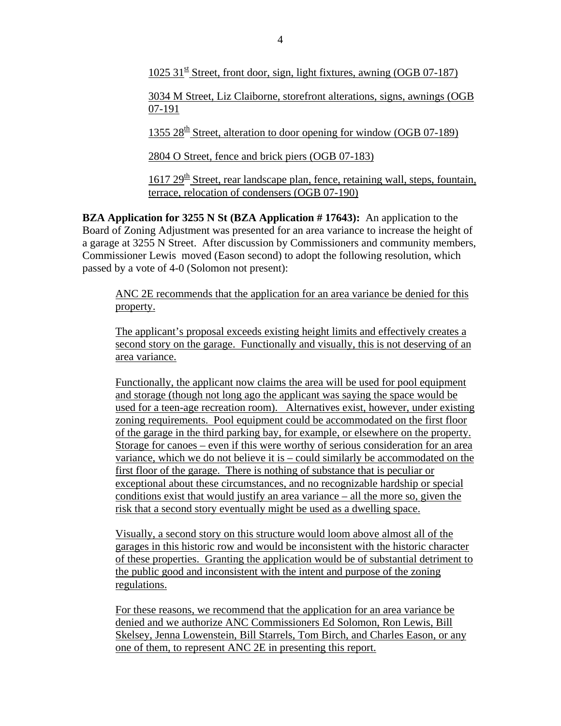1025 31 $\frac{st}{s}$  Street, front door, sign, light fixtures, awning (OGB 07-187)

3034 M Street, Liz Claiborne, storefront alterations, signs, awnings (OGB 07-191

1355 28<sup>th</sup> Street, alteration to door opening for window (OGB 07-189)

2804 O Street, fence and brick piers (OGB 07-183)

 $1617 29<sup>th</sup>$  Street, rear landscape plan, fence, retaining wall, steps, fountain, terrace, relocation of condensers (OGB 07-190)

**BZA Application for 3255 N St (BZA Application # 17643):** An application to the Board of Zoning Adjustment was presented for an area variance to increase the height of a garage at 3255 N Street. After discussion by Commissioners and community members, Commissioner Lewis moved (Eason second) to adopt the following resolution, which passed by a vote of 4-0 (Solomon not present):

ANC 2E recommends that the application for an area variance be denied for this property.

The applicant's proposal exceeds existing height limits and effectively creates a second story on the garage. Functionally and visually, this is not deserving of an area variance.

Functionally, the applicant now claims the area will be used for pool equipment and storage (though not long ago the applicant was saying the space would be used for a teen-age recreation room). Alternatives exist, however, under existing zoning requirements. Pool equipment could be accommodated on the first floor of the garage in the third parking bay, for example, or elsewhere on the property. Storage for canoes – even if this were worthy of serious consideration for an area variance, which we do not believe it is – could similarly be accommodated on the first floor of the garage. There is nothing of substance that is peculiar or exceptional about these circumstances, and no recognizable hardship or special conditions exist that would justify an area variance  $-$  all the more so, given the risk that a second story eventually might be used as a dwelling space.

Visually, a second story on this structure would loom above almost all of the garages in this historic row and would be inconsistent with the historic character of these properties. Granting the application would be of substantial detriment to the public good and inconsistent with the intent and purpose of the zoning regulations.

For these reasons, we recommend that the application for an area variance be denied and we authorize ANC Commissioners Ed Solomon, Ron Lewis, Bill Skelsey, Jenna Lowenstein, Bill Starrels, Tom Birch, and Charles Eason, or any one of them, to represent ANC 2E in presenting this report.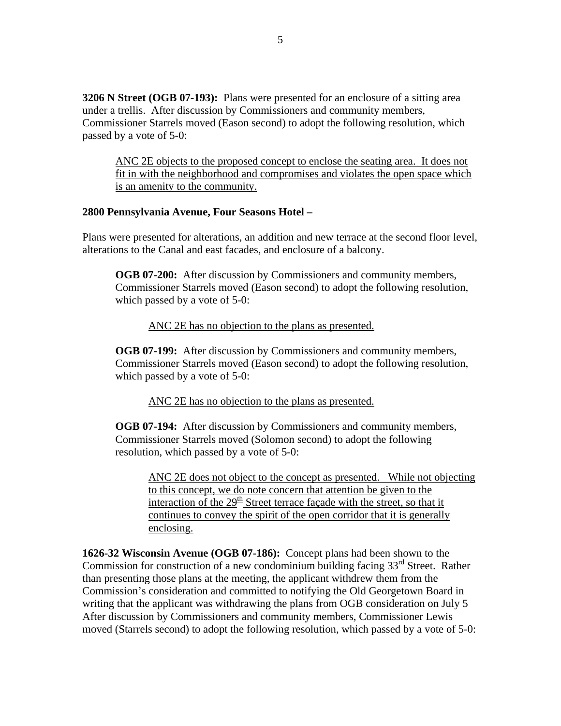**3206 N Street (OGB 07-193):** Plans were presented for an enclosure of a sitting area under a trellis. After discussion by Commissioners and community members, Commissioner Starrels moved (Eason second) to adopt the following resolution, which passed by a vote of 5-0:

ANC 2E objects to the proposed concept to enclose the seating area. It does not fit in with the neighborhood and compromises and violates the open space which is an amenity to the community.

#### **2800 Pennsylvania Avenue, Four Seasons Hotel –**

Plans were presented for alterations, an addition and new terrace at the second floor level, alterations to the Canal and east facades, and enclosure of a balcony.

**OGB 07-200:** After discussion by Commissioners and community members, Commissioner Starrels moved (Eason second) to adopt the following resolution, which passed by a vote of 5-0:

ANC 2E has no objection to the plans as presented.

**OGB 07-199:** After discussion by Commissioners and community members, Commissioner Starrels moved (Eason second) to adopt the following resolution, which passed by a vote of 5-0:

ANC 2E has no objection to the plans as presented.

**OGB 07-194:** After discussion by Commissioners and community members, Commissioner Starrels moved (Solomon second) to adopt the following resolution, which passed by a vote of 5-0:

ANC 2E does not object to the concept as presented. While not objecting to this concept, we do note concern that attention be given to the interaction of the  $29<sup>th</sup>$  Street terrace façade with the street, so that it continues to convey the spirit of the open corridor that it is generally enclosing.

**1626-32 Wisconsin Avenue (OGB 07-186):** Concept plans had been shown to the Commission for construction of a new condominium building facing  $33<sup>rd</sup>$  Street. Rather than presenting those plans at the meeting, the applicant withdrew them from the Commission's consideration and committed to notifying the Old Georgetown Board in writing that the applicant was withdrawing the plans from OGB consideration on July 5 After discussion by Commissioners and community members, Commissioner Lewis moved (Starrels second) to adopt the following resolution, which passed by a vote of 5-0: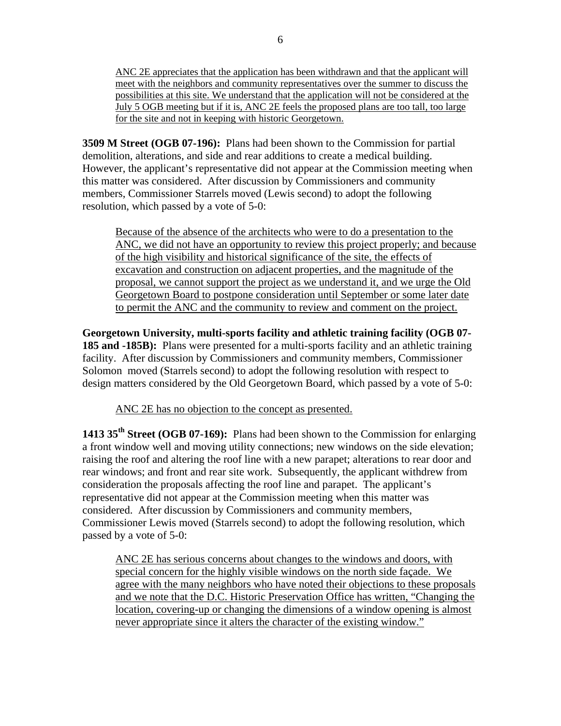ANC 2E appreciates that the application has been withdrawn and that the applicant will meet with the neighbors and community representatives over the summer to discuss the possibilities at this site. We understand that the application will not be considered at the July 5 OGB meeting but if it is, ANC 2E feels the proposed plans are too tall, too large for the site and not in keeping with historic Georgetown.

**3509 M Street (OGB 07-196):** Plans had been shown to the Commission for partial demolition, alterations, and side and rear additions to create a medical building. However, the applicant's representative did not appear at the Commission meeting when this matter was considered. After discussion by Commissioners and community members, Commissioner Starrels moved (Lewis second) to adopt the following resolution, which passed by a vote of 5-0:

Because of the absence of the architects who were to do a presentation to the ANC, we did not have an opportunity to review this project properly; and because of the high visibility and historical significance of the site, the effects of excavation and construction on adjacent properties, and the magnitude of the proposal, we cannot support the project as we understand it, and we urge the Old Georgetown Board to postpone consideration until September or some later date to permit the ANC and the community to review and comment on the project.

**Georgetown University, multi-sports facility and athletic training facility (OGB 07- 185 and -185B):** Plans were presented for a multi-sports facility and an athletic training facility. After discussion by Commissioners and community members, Commissioner Solomon moved (Starrels second) to adopt the following resolution with respect to design matters considered by the Old Georgetown Board, which passed by a vote of 5-0:

ANC 2E has no objection to the concept as presented.

**1413 35th Street (OGB 07-169):**Plans had been shown to the Commission for enlarging a front window well and moving utility connections; new windows on the side elevation; raising the roof and altering the roof line with a new parapet; alterations to rear door and rear windows; and front and rear site work. Subsequently, the applicant withdrew from consideration the proposals affecting the roof line and parapet. The applicant's representative did not appear at the Commission meeting when this matter was considered. After discussion by Commissioners and community members, Commissioner Lewis moved (Starrels second) to adopt the following resolution, which passed by a vote of 5-0:

ANC 2E has serious concerns about changes to the windows and doors, with special concern for the highly visible windows on the north side façade. We agree with the many neighbors who have noted their objections to these proposals and we note that the D.C. Historic Preservation Office has written, "Changing the location, covering-up or changing the dimensions of a window opening is almost never appropriate since it alters the character of the existing window."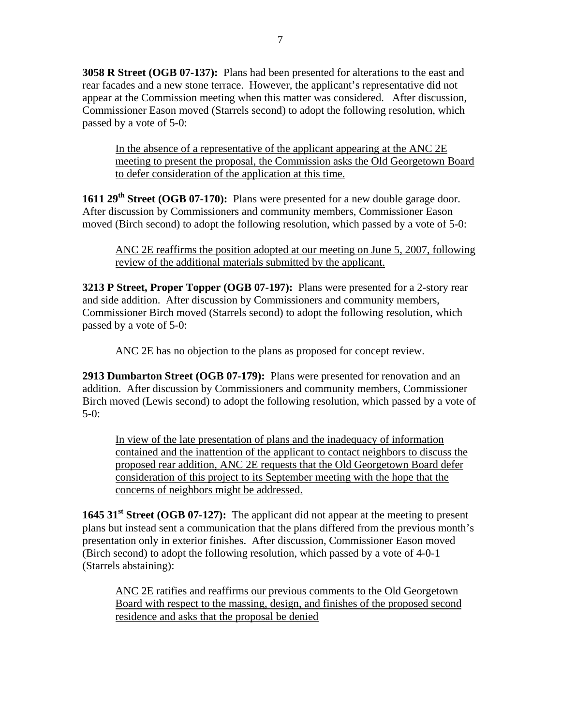**3058 R Street (OGB 07-137):** Plans had been presented for alterations to the east and rear facades and a new stone terrace. However, the applicant's representative did not appear at the Commission meeting when this matter was considered. After discussion, Commissioner Eason moved (Starrels second) to adopt the following resolution, which passed by a vote of 5-0:

In the absence of a representative of the applicant appearing at the ANC 2E meeting to present the proposal, the Commission asks the Old Georgetown Board to defer consideration of the application at this time.

**1611 29<sup>th</sup> Street (OGB 07-170):** Plans were presented for a new double garage door. After discussion by Commissioners and community members, Commissioner Eason moved (Birch second) to adopt the following resolution, which passed by a vote of 5-0:

ANC 2E reaffirms the position adopted at our meeting on June 5, 2007, following review of the additional materials submitted by the applicant.

**3213 P Street, Proper Topper (OGB 07-197):**Plans were presented for a 2-story rear and side addition. After discussion by Commissioners and community members, Commissioner Birch moved (Starrels second) to adopt the following resolution, which passed by a vote of 5-0:

ANC 2E has no objection to the plans as proposed for concept review.

**2913 Dumbarton Street (OGB 07-179):**Plans were presented for renovation and an addition. After discussion by Commissioners and community members, Commissioner Birch moved (Lewis second) to adopt the following resolution, which passed by a vote of  $5-0$ :

In view of the late presentation of plans and the inadequacy of information contained and the inattention of the applicant to contact neighbors to discuss the proposed rear addition, ANC 2E requests that the Old Georgetown Board defer consideration of this project to its September meeting with the hope that the concerns of neighbors might be addressed.

**1645 31<sup>st</sup> Street (OGB 07-127):** The applicant did not appear at the meeting to present plans but instead sent a communication that the plans differed from the previous month's presentation only in exterior finishes. After discussion, Commissioner Eason moved (Birch second) to adopt the following resolution, which passed by a vote of 4-0-1 (Starrels abstaining):

ANC 2E ratifies and reaffirms our previous comments to the Old Georgetown Board with respect to the massing, design, and finishes of the proposed second residence and asks that the proposal be denied